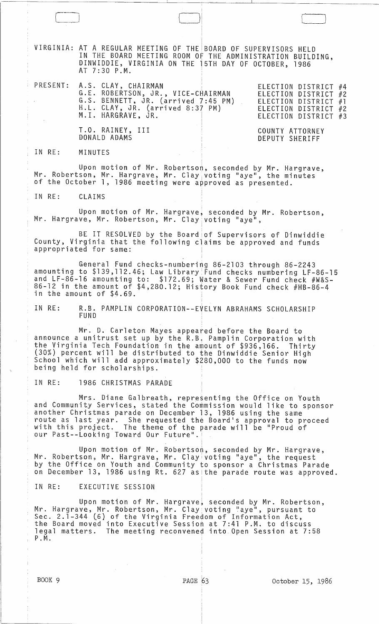VIRGINIA: AT A REGULAR MEETING OF THE BOARD OF SUPERVISORS HELD IN THE BOARD MEETING ROOM OF THE ADMINISTRATION BUILDING, DINWIDDIE, VIRGINIA ON THE 15TH DAY OF OCTOBER, 1986 AT 7:30 P.M.

| PRESENT: A.S. CLAY, CHAIRMAN<br>G.E. ROBERTSON, JR., VICE-CHAIRMAN<br>G.S. BENNETT, JR. (arrived 7:45 PM)<br>H.L. CLAY, JR. (arrived 8:37 PM)<br>M.I. HARGRAVE, JR. | ELECTION DISTRICT #4<br>ELECTION DISTRICT #2<br>ELECTION DISTRICT #1<br>ELECTION DISTRICT #2<br>ELECTION DISTRICT #3 |
|---------------------------------------------------------------------------------------------------------------------------------------------------------------------|----------------------------------------------------------------------------------------------------------------------|
| T.O. RAINEY, III<br>DONALD ADAMS                                                                                                                                    | COUNTY ATTORNEY<br>DEPUTY SHERIFF                                                                                    |

IN RE: MINUTES

 $\overline{\mathcal{C}}$ 

 $\Box$ 

Upon motion of Mr. Robertson, seconded by Mr. Hargrave, Mr. Robertson, Mr. Hargrave, Mr. C1ay <sup>1</sup> voting "aye", the minutes of the October 1, 1986 meeting were approved as presented.

IN RE: CLAIMS

Upon motion of Mr. Hargravel seconded by Mr. Robertson, Mr. Hargrave, Mr. Robertson, Mr. Clay voting "aye",

i

BE IT RESOLVED by the Board of Supervisors of Dinwiddie County, Virginia that the following claims be approved and funds appropriated for same:

General Fund checks-numbering 86-2103 through 86-2243 amounting to \$139,112.46; Law Library:Fund checks numbering LF-86-15 and LF-86-16 amounting to: \$172.69; Water & Sewer Fund check #W&S-86-12 in the amount of \$4,280.12; History Book Fund check #HB-86-4 in the amount of \$4.69.

IN RE: R.B. PAMPLIN CORPORATION--EVELYN ABRAHAMS SCHOLARSHIP FUND

Mr. D. Carleton Mayes appeared before the Board to announce a unitrust set up by the R.B, Pamplin Corporation with the Virginia Tech Foundation in the amount of \$936,166. Thirty (30%) percent will be distributed to the Dinwiddie Senior High School which will add approximately \$280,000 to the funds now being held for scholarships.

IN RE: 1986 CHRISTMAS PARADE

Mrs. Diane Galbreath, representing the Office on Youth and Community Services, stated the Commission would like to sponsor another Christmas parade on December 13, 1986 using the same route as last year. She requested the Board's approval to proceed<br>route as last year. She requested the Board's approval to proceed<br>with this project. The theme of the parade will be "Proud of our Past--Looking Toward Our Future".

Upon motion of Mr. Robertson, seconded by Mr. Hargrave, Mr. Robertson, Mr. Hargrave, Mr. Clay voting "aye", the request by the Office on Youth and Community to sponsor a Christmas Parade on December 13, 1986 using Rt. 627 as the parade route was approved.

IN RE: EXECUTIVE SESSION

Upon motion of Mr. Hargrave, seconded by Mr. Robertson, Mr. Hargrave, Mr. Robertson, Mr. Clay voting "aye", pursuant to Sec. 2.1-344 (6) of the Virginia Freedom of Information Act, the Board moved into Executive Session at 7:41 P.M. to discuss legal matters. The meeting reconvened into Open Session at 7:58 P. M.

 $\Box$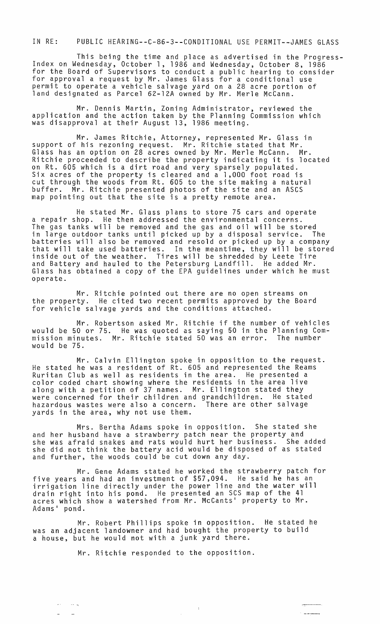IN RE: PUBLIC HEARING--C-86-3--CONDITIONAL USE PERMIT--JAMES GLASS

This being the time and place as advertised in the Progress- Index on Wednesday, October 1, 1986 and Wednesday, October 8, 1986 for the Board of Supervisors to conduct a public hearing to consider for approval a request by Mr. James Glass for a conditional use permit to operate a vehicle salvage yard on a 28 acre portion of land designated as Parcel 62-12A owned by Mr. Merle McCann.

Mr. Dennis Martin, Zoning Administrator, reviewed the application and the action taken by the Planning Commission which was disapproval at their August 13, 1986 meeting.

Mr. James Ritchie, Attorney, represented Mr. Glass in support of his rezoning request. Mr. Ritchie stated that Mr. Glass has an option on 28 acres owned by Mr. Merle McCann. Mr. Ritchie proceeded to describe the property indicating it is located on Rt. 605 which is a dirt road and very sparsely populated. Six acres of the property is cleared and a 1,000 foot road is cut through the woods from Rt. 605 to the site making a natural buffer. Mr. Ritchie presented photos of the site and an ASCS map pointing out that the site is a pretty remote area.

He stated Mr. Glass plans to store 75 cars and operate a repair shop. He then addressed the environmental concerns. The gas tanks will be removed and the gas and oil will be stored in large outdoor tanks until picked up by a disposal service. The batteries will also be removed and resold or picked up by a company that will take used batteries. In the meantime, they will be stored inside out of the weather. Tires will be shredded by Leete Tire and Battery and hauled to the Petersburg Landfill. He added Mr. Glass has obtained a copy of the EPA guidelines under which he must operate.

Mr. Ritchie pointed out there are no open streams on the property. He cited two recent permits approved by the Board for vehicle salvage yards and the conditions attached.

Mr. Robertson asked Mr. Ritchie if the number of vehicles would be 50 or 75. He was quoted as saying 50 in the Planning Commission minutes. Mr. Ritchie stated 50 was an error. The number would be 75.

Mr. Calvin Ellington spoke in opposition to the request. He stated he was a resident of Rt. 605 and represented the Reams Ruritan Club as well as residents in the area. He presented a color coded chart showing where the residents in the area live along with a petition of 37 names. Mr. Ellington stated they were concerned for their children and grandchildren. He stated hazardous wastes were also a concern. There are other salvage yards in the area, why not use them.

Mrs. Bertha Adams spoke in opposition. She stated she and her husband have a strawberry patch near the property and she was afraid snakes and rats would hurt her business. She added she did not think the battery acid would be disposed of as stated and further, the woods could be cut down any day.

Mr. Gene Adams stated he worked the strawberry patch for five years and had an investment of \$57,094. He said he has an irrigation line directly under the power line and the water will drain right into his pond. He presented an SCS map of the 41 acres which show a watershed from Mr. McCants' property to Mr. Adams' pond.

Mr. Robert Phillips spoke in opposition. He stated he was an adjacent landowner and had bought the property to build a house, but he would not with a junk yard there.

 $\sim 3$ 

 $\mathcal{L}_{\text{max}}$ 

Mr. Ritchie responded to the opposition.

 $\sigma_{\rm{max}}$  and  $\sigma_{\rm{max}}$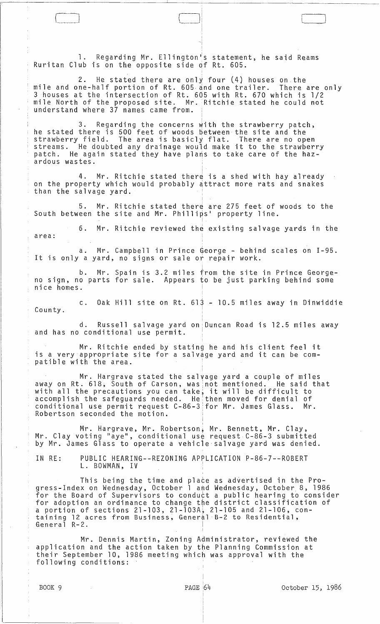1. Regarding Mr. Ellington's statement, he said Reams Ruritan Club is on the opposite side df Rt. 605.

2. He stated there are only four (4) houses on the mile and one-half portion of Rt. 605 and one trailer. There are only 3 houses at the intersection of Rt. 605 with Rt. 670 which is 1/2 mile North of the proposed site. Mr. Ritchie stated he could not understand where 37 names came from.

<sup>~</sup>I I

3. Regarding the concerns with the strawberry patch, he stated there is 500 feet of woods between the site and the strawberry field. The area is basicly flat. There are no open streams. He doubted any drainage would make it to the strawberry patch. He again stated they have plans to take care of the haz-.<br>ardous wastes.

4. Mr. Ritchie stated there is a shed with hay already on the property which would probably attract more rats and snakes than the salvage yard.

I

!

5. Mr. Ritchie stated there are 275 feet of woods to the South between the site and Mr. Phillips' property line.

6. Mr. Ritchie reviewed the existing salvage yards in the area:

a. Mr. Campbell in Prince George - behind scales on 1-95. It is only a yard, no signs or sale or repair work.

Mr. Spain is 3.2 miles from the site in Prince Georgeno sign, no parts for sale. Appears to be just parking behind some nice homes.

c. Oak Hill site on Rt. 61j - 10.5 miles away in Dinwiddie County.

d. Russell salvage yard on Duncan Road is 12.5 miles away and has no conditional use permit.

Mr. Ritchie ended by stating he and his client feel it is a very appropriate site for a salvage yard and it can be compatible with the area.

Mr. Hargrave stated the salvage yard a couple of miles away on Rt. 618, South of Carson, was 'not mentioned. He said that away on K.C. 010, South of carson, was not mentioned. The said accomplish the safeguards needed. He'then moved for denial of conditional use permit request C-86-3 for Mr. James Glass.  $\,$  Mr. Robertson seconded the motion.

i

Mr. Hargrave, Mr. Robertson, Mr. Bennett, Mr. Clay, Mr. Clay voting "aye", conditional use request C-86-3 submitted by Mr. James Glass to operate a vehicle salvage yard was denied.

IN RE: PUBLIC HEARING--REZONING APPLICATION P-86-7--ROBERT L. BOWMAN, IV

This being the time and place as advertised in the Progress-Index on Wednesday, October 1 and Wednesday, October. 8, 1986 for the Board of Supervisors to conduct a public hearing to consider for adoption an ordinance to change the district classification of a portion of sections 21-103, 21-103A~ 21-105 and 21-106, cona portion of ecosions arrives arriveily in the annual constant of the second terms of the state of the state of the state of the state of the state of the state of the state of the state of the state of the state of the st General R-2.

Mr. Dennis Martin, Zoning Administrator, reviewed the application and the action taken by the Planning Commission at their September 10, 1986 meeting which was approval with the following conditions:

I.'

C\_l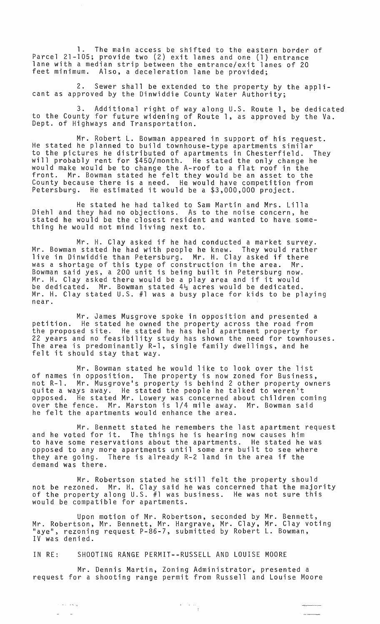The main access be shifted to the eastern border of Parcel 21-105; provide two (2) exit lanes and one (l) entrance lane with a median strip between the entrance/exit lanes of 20 feet minimum. Also, a deceleration lane be provided;

2. Sewer shall be extended to the property by the applicant as approved by the Dinwiddie County Water Authority;

3. Additional right of way along U.S. Route 1, be dedicated to the County for future widening of Route 1, as approved by the Va. Dept. of Highways and Transportation.

Mr. Robert L. Bowman appeared in support of his request. He stated he planned to build townhouse-type apartments similar to the pictures he distributed of apartments in Chesterfield. They will probably rent for \$450/month. He stated the only change he would make would be to change the A-roof to a flat roof in the front. Mr. Bowman stated he felt they would be an asset to the County because there is a need. He would have competition from Petersburg. He estimated it would be a \$3,000,000 project.

He stated he had talked to Sam Martin and Mrs. Lilla Diehl and they had no objections. As to the noise concern, he stated he would be the closest resident and wanted to have something he would not mind living next to.

Mr. H. Clay asked if he had conducted a market survey. Mr. Bowman stated he had with people he knew. They would rather live in Dinwiddie than Petersburg. Mr. H. Clay asked if there was a shortage of this type of construction in the area. Mr. Bowman said yes, a 200 unit is being built in Petersburg now. Bowman sald yes, a 200 unit is being built in retersburg now<br>Mr. H. Clay asked there would be a play area and if it would be dedicated. Mr. Bowman stated  $4\frac{1}{2}$  acres would be dedicated. Mr. H. Clay stated U.S. #1 was a busy place for kids to be playing near.

Mr. James Musgrove spoke in opposition and presented a petition. He stated he owned the property across the road from petition. He stated he owned the property across the road from<br>the proposed site. He stated he has held apartment property for 22 years and no feasibility study has shown the need for townhouses. The area is predominantly R-l, single family dwellings, and he felt it should stay that way.

Mr. Bowman stated he would like to look over the list of names in opposition. The property is now zoned for Business, not R-l. Mr. Musgrove's property is behind 2 other property owners quite a ways away. He stated the people he talked to weren't opposed. He stated Mr. Lowery was concerned about children coming over the fence. Mr. Marston is 1/4 mile away. Mr. Bowman said he felt the apartments would enhance the area.

Mr. Bennett stated he remembers the last apartment request and he voted for it. The things he is hearing now causes him to have some reservations about the apartments. He stated he was opposed to any more apartments until some are built to see where they are going. There is already R-2 land in the area if the demand was there.

Mr. Robertson stated he still felt the property should not be rezoned. Mr. H. Clay said he was concerned that the majority of the property along U.S. #1 was business. He was not sure this would be compatible for apartments.

Upon motion of Mr. Robertson, seconded by Mr. Bennett, Mr. Robertson, Mr. Bennett, Mr. Hargrave, Mr. Clay, Mr. Clay voting "aye", rezoning request P-86-7, submitted by Robert L. Bowman, IV was denied.

IN RE: SHOOTING RANGE PERMIT--RUSSELL AND LOUISE MOORE

وأحداده أداد

Mr. Dennis Martin, Zoning Administrator, presented a request for a shooting range permit from Russell and Louise Moore

 $\frac{1}{\sqrt{2}}\left(\frac{1}{\sqrt{2}}\right)$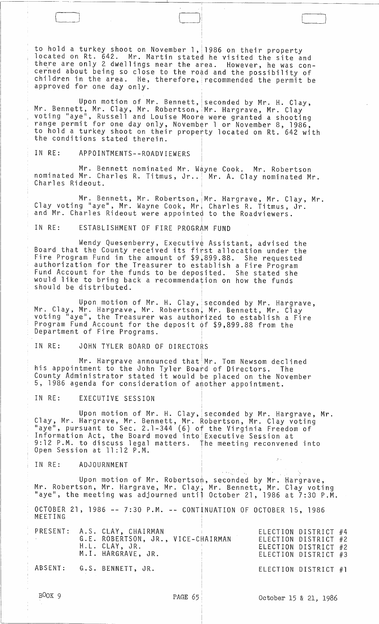to hold a turkey shoot on November 1, 1986 on their property located on Rt. 642. Mr. Martin stated he visited the site and there are only 2 dwellings near the a~ea. However, he was concerned about being so close to the road and the possibility of children in the area. He, therefore, recommended the permit be approved for one day only.

J L $\Box$ 

I

I

I

i.

I

Upon motion of Mr. Bennett, seconded by Mr. H. Clay, Mr. Bennett, Mr. Clay, Mr. Robertson, Mr. Hargrave, Mr. Clay <sup>I</sup>voting "aye", Russell and Louise Moore were granted a shooting range permit for one day only, November 1 or November 8, 1986, to hold a turkey shoot on their propetty located on Rt. 642 with the conditions stated therein.

IN RE: APPOINTMENTS--ROADVIEWERS

Mr. Bennett nominated Mr. Wayne Cook. Mr. Robertson nominated Mr. Charles R. Titmus, Jr.. | Mr. A. Clay nominated Mr. Charles Rideout.

Mr. Bennett, Mr. Robertson, Mr. Hargrave, Mr. Clay, Mr. Clay voting "aye", Mr. Wayne Cook, Mr. Charles R. Titmus, Jr. and Mr. Charles Rideout were appointed to the Roadviewers.

IN RE: ESTABLISHMENT OF FIRE PROGRAM FUND

<sup>I</sup>Wendy Quesenberry, Executiv¢ Assistant, advised the Board that the County received its first allocation under the Fire Program Fund in the amount of \$9,899.88. She requested authorization for the Treasurer to establish a Fire Program Fund Account for the funds to be deposited. She stated she would like to bring back a recommendation on how the funds should be distributed.

Upon motion of Mr. H. Clay, seconded by Mr. Hargrave,<br>Mr. Clay, Mr. Hargrave, Mr. Robertson, Mr. Bennett, Mr. Clay<br>voting "aye", the Treasurer was authorized to establish a Fire Program Fund Account for the deposit of \$9,899.88 from the Department of Fire Programs.

IN RE: JOHN TYLER BOARD OF DIRECTORS

Mr. Hargrave announced that  $M$ r. Tom Newsom declined his appointment to the John Tyler Board of Directors. The County Administrator stated it would be placed on the November 5, 1986 agenda for consideration of another appointment.

IN RE: EXECUTIVE SESSION

Upon motion of Mr. H. Clay, seconded by Mr. Hargrave, Mr. Clay, Mr. Hargrave, Mr. Bennett, Mr. Robertson, Mr. Clay voting "aye", pursuant to Sec. 2.1-344 (6) of the Virginia Freedom of Information Act, the Board moved into Executive Session at 9:12 P.M. to discuss legal matters. the meeting reconvened into Open Session at 11:12 P.M.

IN RE: ADJOURNMENT

Upon motion of Mr. Robertson, seconded by Mr. Hargrave, Mr. Robertson, Mr. Hargrave, Mr. Clay, Mr. Bennett, Mr. Clay voting "aye", the meeting was adjourned until October 21, 1986 at 7:30 P.M.

 $\epsilon \rightarrow \omega_{\rm{eff}}$  .

 $\sim$  .

OCTOBER 21, 1986 -- 7:30 P.M. -- CONTINUATION OF OCTOBER 15, 1986 MEETING I

|  | PRESENT: A.S. CLAY, CHAIRMAN<br>G.E. ROBERTSON, JR., VICE-CHAIRMAN<br>H.L. CLAY, JR.<br>M.I. HARGRAVE, JR. |  | ELECTION DISTRICT #4<br>ELECTION DISTRICT #2<br>ELECTION DISTRICT #2<br>ELECTION DISTRICT #3 |  |
|--|------------------------------------------------------------------------------------------------------------|--|----------------------------------------------------------------------------------------------|--|
|  | ABSENT: G.S. BENNETT, JR.                                                                                  |  | ELECTION DISTRICT #1                                                                         |  |